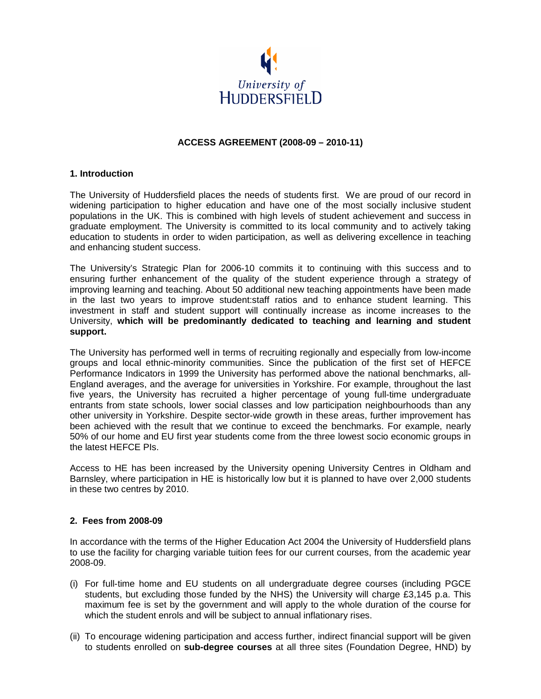

## **ACCESS AGREEMENT (2008-09 – 2010-11)**

#### **1. Introduction**

The University of Huddersfield places the needs of students first. We are proud of our record in widening participation to higher education and have one of the most socially inclusive student populations in the UK. This is combined with high levels of student achievement and success in graduate employment. The University is committed to its local community and to actively taking education to students in order to widen participation, as well as delivering excellence in teaching and enhancing student success.

The University's Strategic Plan for 2006-10 commits it to continuing with this success and to ensuring further enhancement of the quality of the student experience through a strategy of improving learning and teaching. About 50 additional new teaching appointments have been made in the last two years to improve student:staff ratios and to enhance student learning. This investment in staff and student support will continually increase as income increases to the University, **which will be predominantly dedicated to teaching and learning and student support.** 

The University has performed well in terms of recruiting regionally and especially from low-income groups and local ethnic-minority communities. Since the publication of the first set of HEFCE Performance Indicators in 1999 the University has performed above the national benchmarks, all-England averages, and the average for universities in Yorkshire. For example, throughout the last five years, the University has recruited a higher percentage of young full-time undergraduate entrants from state schools, lower social classes and low participation neighbourhoods than any other university in Yorkshire. Despite sector-wide growth in these areas, further improvement has been achieved with the result that we continue to exceed the benchmarks. For example, nearly 50% of our home and EU first year students come from the three lowest socio economic groups in the latest HEFCE PIs.

Access to HE has been increased by the University opening University Centres in Oldham and Barnsley, where participation in HE is historically low but it is planned to have over 2,000 students in these two centres by 2010.

#### **2. Fees from 2008-09**

In accordance with the terms of the Higher Education Act 2004 the University of Huddersfield plans to use the facility for charging variable tuition fees for our current courses, from the academic year 2008-09.

- (i) For full-time home and EU students on all undergraduate degree courses (including PGCE students, but excluding those funded by the NHS) the University will charge £3,145 p.a. This maximum fee is set by the government and will apply to the whole duration of the course for which the student enrols and will be subject to annual inflationary rises.
- (ii) To encourage widening participation and access further, indirect financial support will be given to students enrolled on **sub-degree courses** at all three sites (Foundation Degree, HND) by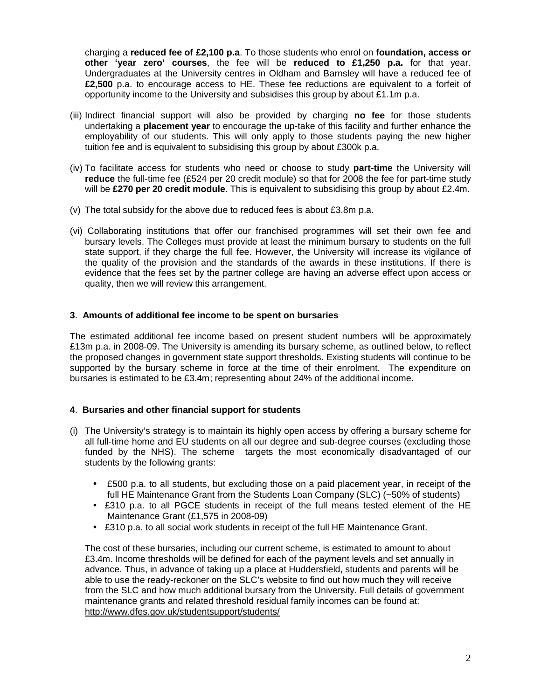charging a **reduced fee of £2,100 p.a**. To those students who enrol on **foundation, access or other 'year zero' courses**, the fee will be **reduced to £1,250 p.a.** for that year. Undergraduates at the University centres in Oldham and Barnsley will have a reduced fee of **£2,500** p.a. to encourage access to HE. These fee reductions are equivalent to a forfeit of opportunity income to the University and subsidises this group by about £1.1m p.a.

- (iii) Indirect financial support will also be provided by charging **no fee** for those students undertaking a **placement year** to encourage the up-take of this facility and further enhance the employability of our students. This will only apply to those students paying the new higher tuition fee and is equivalent to subsidising this group by about £300k p.a.
- (iv) To facilitate access for students who need or choose to study **part-time** the University will **reduce** the full-time fee (£524 per 20 credit module) so that for 2008 the fee for part-time study will be **£270 per 20 credit module**. This is equivalent to subsidising this group by about £2.4m.
- (v) The total subsidy for the above due to reduced fees is about £3.8m p.a.
- (vi) Collaborating institutions that offer our franchised programmes will set their own fee and bursary levels. The Colleges must provide at least the minimum bursary to students on the full state support, if they charge the full fee. However, the University will increase its vigilance of the quality of the provision and the standards of the awards in these institutions. If there is evidence that the fees set by the partner college are having an adverse effect upon access or quality, then we will review this arrangement.

## **3**. **Amounts of additional fee income to be spent on bursaries**

The estimated additional fee income based on present student numbers will be approximately £13m p.a. in 2008-09. The University is amending its bursary scheme, as outlined below, to reflect the proposed changes in government state support thresholds. Existing students will continue to be supported by the bursary scheme in force at the time of their enrolment. The expenditure on bursaries is estimated to be £3.4m; representing about 24% of the additional income.

## **4**. **Bursaries and other financial support for students**

- (i) The University's strategy is to maintain its highly open access by offering a bursary scheme for all full-time home and EU students on all our degree and sub-degree courses (excluding those funded by the NHS). The scheme targets the most economically disadvantaged of our students by the following grants:
	- £500 p.a. to all students, but excluding those on a paid placement year, in receipt of the full HE Maintenance Grant from the Students Loan Company (SLC) (~50% of students)
	- £310 p.a. to all PGCE students in receipt of the full means tested element of the HE Maintenance Grant (£1,575 in 2008-09)
	- £310 p.a. to all social work students in receipt of the full HE Maintenance Grant.

The cost of these bursaries, including our current scheme, is estimated to amount to about £3.4m. Income thresholds will be defined for each of the payment levels and set annually in advance. Thus, in advance of taking up a place at Huddersfield, students and parents will be able to use the ready-reckoner on the SLC's website to find out how much they will receive from the SLC and how much additional bursary from the University. Full details of government maintenance grants and related threshold residual family incomes can be found at: http://www.dfes.gov.uk/studentsupport/students/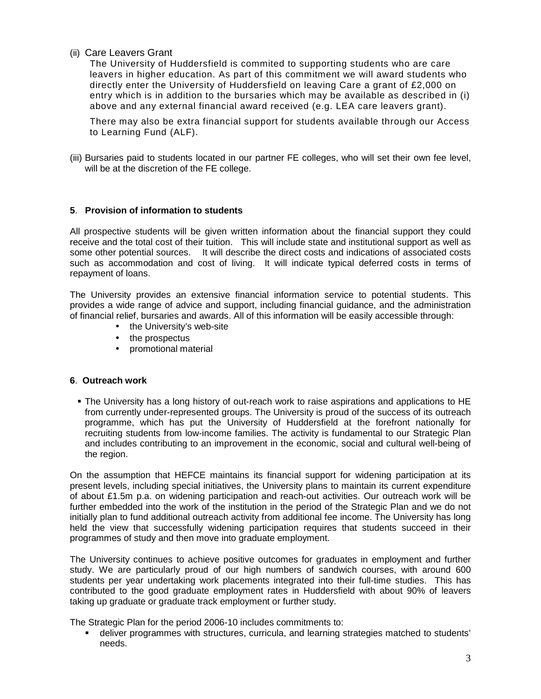(ii) Care Leavers Grant

The University of Huddersfield is commited to supporting students who are care leavers in higher education. As part of this commitment we will award students who directly enter the University of Huddersfield on leaving Care a grant of £2,000 on entry which is in addition to the bursaries which may be available as described in (i) above and any external financial award received (e.g. LEA care leavers grant).

There may also be extra financial support for students available through our Access to Learning Fund (ALF).

(iii) Bursaries paid to students located in our partner FE colleges, who will set their own fee level, will be at the discretion of the FE college.

# **5**. **Provision of information to students**

All prospective students will be given written information about the financial support they could receive and the total cost of their tuition. This will include state and institutional support as well as some other potential sources. It will describe the direct costs and indications of associated costs such as accommodation and cost of living. It will indicate typical deferred costs in terms of repayment of loans.

The University provides an extensive financial information service to potential students. This provides a wide range of advice and support, including financial guidance, and the administration of financial relief, bursaries and awards. All of this information will be easily accessible through:

- the University's web-site
- the prospectus
- promotional material

## **6**. **Outreach work**

 The University has a long history of out-reach work to raise aspirations and applications to HE from currently under-represented groups. The University is proud of the success of its outreach programme, which has put the University of Huddersfield at the forefront nationally for recruiting students from low-income families. The activity is fundamental to our Strategic Plan and includes contributing to an improvement in the economic, social and cultural well-being of the region.

On the assumption that HEFCE maintains its financial support for widening participation at its present levels, including special initiatives, the University plans to maintain its current expenditure of about £1.5m p.a. on widening participation and reach-out activities. Our outreach work will be further embedded into the work of the institution in the period of the Strategic Plan and we do not initially plan to fund additional outreach activity from additional fee income. The University has long held the view that successfully widening participation requires that students succeed in their programmes of study and then move into graduate employment.

The University continues to achieve positive outcomes for graduates in employment and further study. We are particularly proud of our high numbers of sandwich courses, with around 600 students per year undertaking work placements integrated into their full-time studies. This has contributed to the good graduate employment rates in Huddersfield with about 90% of leavers taking up graduate or graduate track employment or further study.

The Strategic Plan for the period 2006-10 includes commitments to:

 deliver programmes with structures, curricula, and learning strategies matched to students' needs.